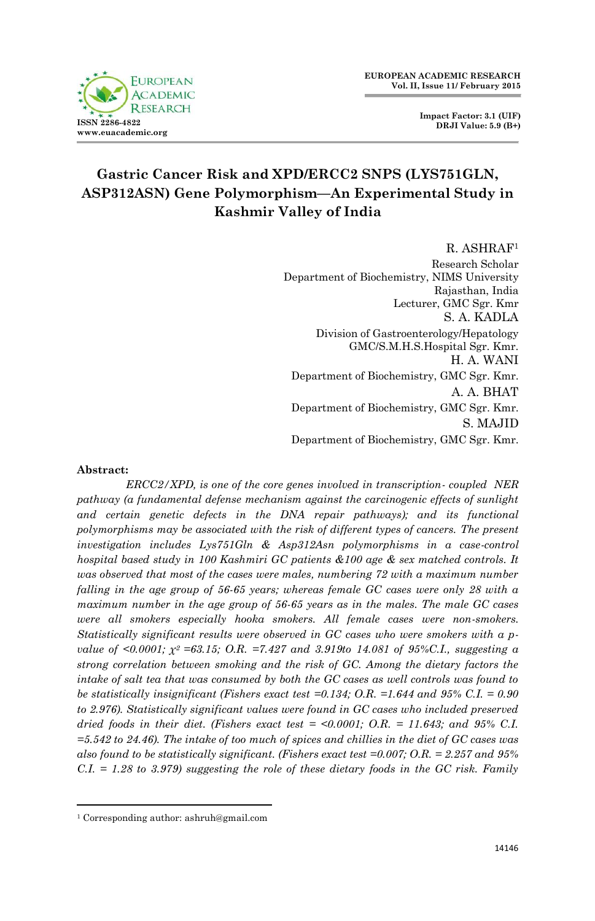



# **Gastric Cancer Risk and XPD/ERCC2 SNPS (LYS751GLN, ASP312ASN) Gene Polymorphism—An Experimental Study in Kashmir Valley of India**

R. ASHRAF<sup>1</sup> Research Scholar Department of Biochemistry, NIMS University Rajasthan, India Lecturer, GMC Sgr. Kmr S. A. KADLA Division of Gastroenterology/Hepatology GMC/S.M.H.S.Hospital Sgr. Kmr. H. A. WANI Department of Biochemistry, GMC Sgr. Kmr. A. A. BHAT Department of Biochemistry, GMC Sgr. Kmr. S. MAJID Department of Biochemistry, GMC Sgr. Kmr.

#### **Abstract:**

1

*ERCC2/XPD, is one of the core genes involved in transcription- coupled NER pathway (a fundamental defense mechanism against the carcinogenic effects of sunlight*  and certain genetic defects in the DNA repair pathways); and its functional *polymorphisms may be associated with the risk of different types of cancers. The present investigation includes Lys751Gln & Asp312Asn polymorphisms in a case-control hospital based study in 100 Kashmiri GC patients &100 age & sex matched controls. It was observed that most of the cases were males, numbering 72 with a maximum number falling in the age group of 56-65 years; whereas female GC cases were only 28 with a maximum number in the age group of 56-65 years as in the males. The male GC cases were all smokers especially hooka smokers. All female cases were non-smokers. Statistically significant results were observed in GC cases who were smokers with a pvalue of <0.0001;*  $\chi^2$  *=63.15; O.R. =7.427 and 3.919to 14.081 of 95%C.I., suggesting a strong correlation between smoking and the risk of GC. Among the dietary factors the intake of salt tea that was consumed by both the GC cases as well controls was found to be statistically insignificant (Fishers exact test =0.134; O.R. =1.644 and 95% C.I. = 0.90 to 2.976). Statistically significant values were found in GC cases who included preserved dried foods in their diet. (Fishers exact test = <0.0001; O.R. = 11.643; and 95% C.I. =5.542 to 24.46). The intake of too much of spices and chillies in the diet of GC cases was also found to be statistically significant. (Fishers exact test =0.007; O.R. = 2.257 and 95% C.I. = 1.28 to 3.979) suggesting the role of these dietary foods in the GC risk. Family* 

<sup>1</sup> Corresponding author: ashruh@gmail.com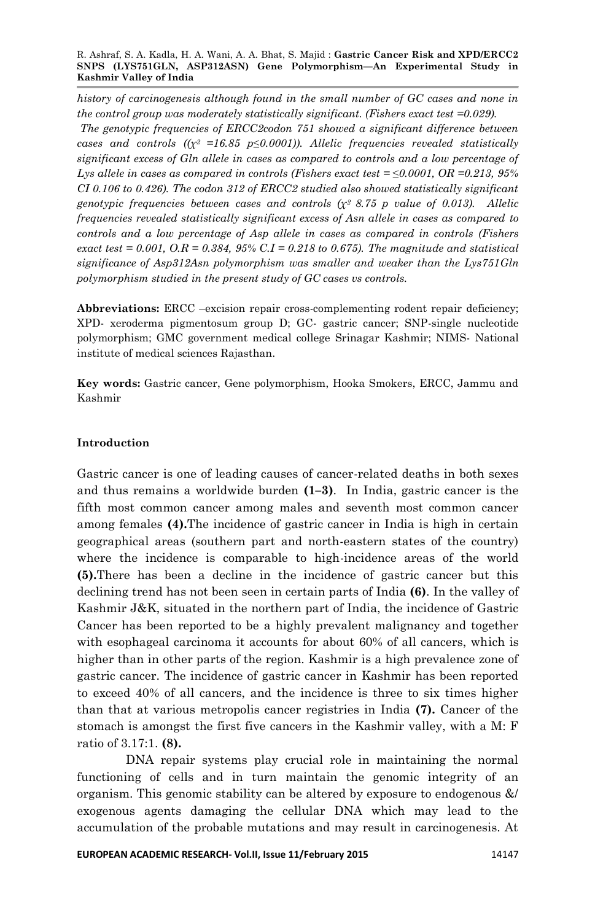R. Ashraf, S. A. Kadla, H. A. Wani, A. A. Bhat, S. Majid : **Gastric Cancer Risk and XPD/ERCC2 SNPS (LYS751GLN, ASP312ASN) Gene Polymorphism—An Experimental Study in Kashmir Valley of India**

*history of carcinogenesis although found in the small number of GC cases and none in the control group was moderately statistically significant. (Fishers exact test =0.029). The genotypic frequencies of ERCC2codon 751 showed a significant difference between cases and controls ((χ2 =16.85 p≤0.0001)). Allelic frequencies revealed statistically significant excess of Gln allele in cases as compared to controls and a low percentage of Lys allele in cases as compared in controls (Fishers exact test = ≤0.0001, OR =0.213, 95% CI 0.106 to 0.426). The codon 312 of ERCC2 studied also showed statistically significant genotypic frequencies between cases and controls (χ2 8.75 p value of 0.013). Allelic frequencies revealed statistically significant excess of Asn allele in cases as compared to controls and a low percentage of Asp allele in cases as compared in controls (Fishers exact test = 0.001, O.R = 0.384, 95% C.I = 0.218 to 0.675). The magnitude and statistical significance of Asp312Asn polymorphism was smaller and weaker than the Lys751Gln polymorphism studied in the present study of GC cases vs controls.*

**Abbreviations:** ERCC –excision repair cross-complementing rodent repair deficiency; XPD- xeroderma pigmentosum group D; GC- gastric cancer; SNP-single nucleotide polymorphism; GMC government medical college Srinagar Kashmir; NIMS- National institute of medical sciences Rajasthan.

**Key words:** Gastric cancer, Gene polymorphism, Hooka Smokers, ERCC, Jammu and Kashmir

#### **Introduction**

Gastric cancer is one of leading causes of cancer-related deaths in both sexes and thus remains a worldwide burden **(1–3)**. In India, gastric cancer is the fifth most common cancer among males and seventh most common cancer among females **(4).**The incidence of gastric cancer in India is high in certain geographical areas (southern part and north-eastern states of the country) where the incidence is comparable to high-incidence areas of the world **(5).**There has been a decline in the incidence of gastric cancer but this declining trend has not been seen in certain parts of India **(6)**. In the valley of Kashmir J&K, situated in the northern part of India, the incidence of Gastric Cancer has been reported to be a highly prevalent malignancy and together with esophageal carcinoma it accounts for about 60% of all cancers, which is higher than in other parts of the region. Kashmir is a high prevalence zone of gastric cancer. The incidence of gastric cancer in Kashmir has been reported to exceed 40% of all cancers, and the incidence is three to six times higher than that at various metropolis cancer registries in India **(7).** Cancer of the stomach is amongst the first five cancers in the Kashmir valley, with a M: F ratio of 3.17:1. **(8).**

DNA repair systems play crucial role in maintaining the normal functioning of cells and in turn maintain the genomic integrity of an organism. This genomic stability can be altered by exposure to endogenous &/ exogenous agents damaging the cellular DNA which may lead to the accumulation of the probable mutations and may result in carcinogenesis. At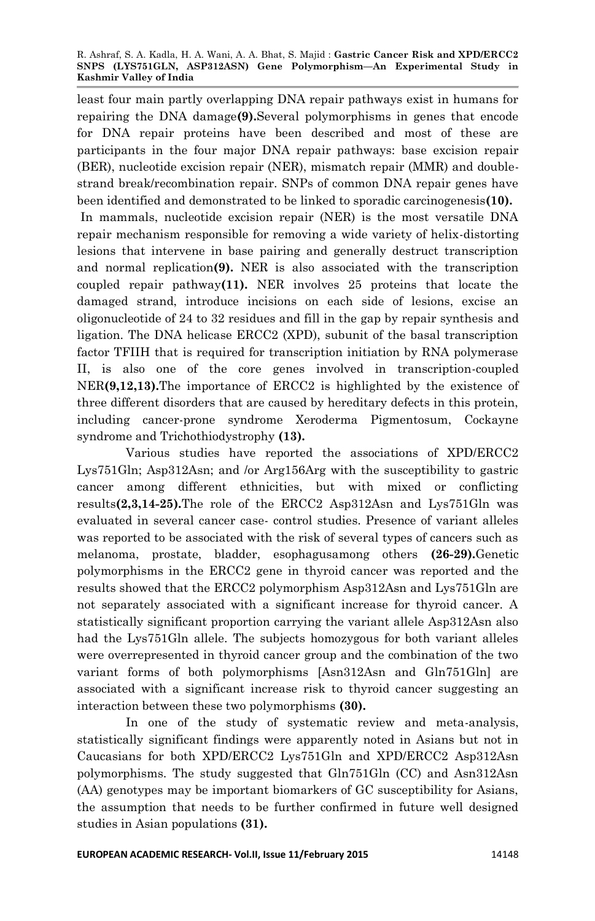least four main partly overlapping DNA repair pathways exist in humans for repairing the DNA damage**(9).**Several polymorphisms in genes that encode for DNA repair proteins have been described and most of these are participants in the four major DNA repair pathways: base excision repair (BER), nucleotide excision repair (NER), mismatch repair (MMR) and doublestrand break/recombination repair. SNPs of common DNA repair genes have been identified and demonstrated to be linked to sporadic carcinogenesis**(10).**

In mammals, nucleotide excision repair (NER) is the most versatile DNA repair mechanism responsible for removing a wide variety of helix-distorting lesions that intervene in base pairing and generally destruct transcription and normal replication**(9).** NER is also associated with the transcription coupled repair pathway**(11).** NER involves 25 proteins that locate the damaged strand, introduce incisions on each side of lesions, excise an oligonucleotide of 24 to 32 residues and fill in the gap by repair synthesis and ligation. The DNA helicase ERCC2 (XPD), subunit of the basal transcription factor TFIIH that is required for transcription initiation by RNA polymerase II, is also one of the core genes involved in transcription-coupled NER**(9,12,13).**The importance of ERCC2 is highlighted by the existence of three different disorders that are caused by hereditary defects in this protein, including cancer-prone syndrome Xeroderma Pigmentosum, Cockayne syndrome and Trichothiodystrophy **(13).**

Various studies have reported the associations of XPD/ERCC2 Lys751Gln; Asp312Asn; and /or Arg156Arg with the susceptibility to gastric cancer among different ethnicities, but with mixed or conflicting results**(2,3,14-25).**The role of the ERCC2 Asp312Asn and Lys751Gln was evaluated in several cancer case- control studies. Presence of variant alleles was reported to be associated with the risk of several types of cancers such as melanoma, prostate, bladder, esophagusamong others **(26-29).**Genetic polymorphisms in the ERCC2 gene in thyroid cancer was reported and the results showed that the ERCC2 polymorphism Asp312Asn and Lys751Gln are not separately associated with a significant increase for thyroid cancer. A statistically significant proportion carrying the variant allele Asp312Asn also had the Lys751Gln allele. The subjects homozygous for both variant alleles were overrepresented in thyroid cancer group and the combination of the two variant forms of both polymorphisms [Asn312Asn and Gln751Gln] are associated with a significant increase risk to thyroid cancer suggesting an interaction between these two polymorphisms **(30).**

In one of the study of systematic review and meta-analysis, statistically significant findings were apparently noted in Asians but not in Caucasians for both XPD/ERCC2 Lys751Gln and XPD/ERCC2 Asp312Asn polymorphisms. The study suggested that Gln751Gln (CC) and Asn312Asn (AA) genotypes may be important biomarkers of GC susceptibility for Asians, the assumption that needs to be further confirmed in future well designed studies in Asian populations **(31).**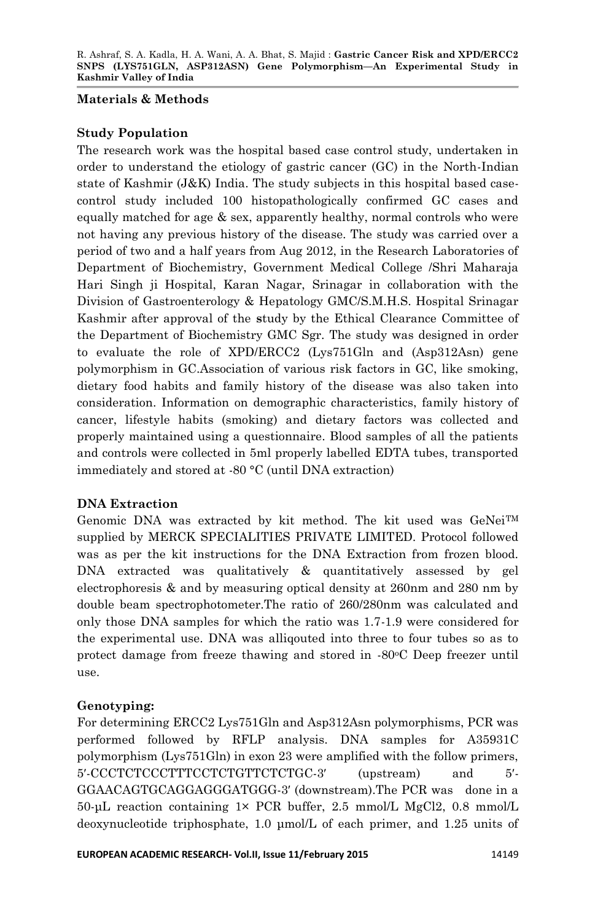### **Materials & Methods**

## **Study Population**

The research work was the hospital based case control study, undertaken in order to understand the etiology of gastric cancer (GC) in the North-Indian state of Kashmir  $(J&K)$  India. The study subjects in this hospital based casecontrol study included 100 histopathologically confirmed GC cases and equally matched for age & sex, apparently healthy, normal controls who were not having any previous history of the disease. The study was carried over a period of two and a half years from Aug 2012, in the Research Laboratories of Department of Biochemistry, Government Medical College /Shri Maharaja Hari Singh ji Hospital, Karan Nagar, Srinagar in collaboration with the Division of Gastroenterology & Hepatology GMC/S.M.H.S. Hospital Srinagar Kashmir after approval of the **s**tudy by the Ethical Clearance Committee of the Department of Biochemistry GMC Sgr. The study was designed in order to evaluate the role of XPD/ERCC2 (Lys751Gln and (Asp312Asn) gene polymorphism in GC.Association of various risk factors in GC, like smoking, dietary food habits and family history of the disease was also taken into consideration. Information on demographic characteristics, family history of cancer, lifestyle habits (smoking) and dietary factors was collected and properly maintained using a questionnaire. Blood samples of all the patients and controls were collected in 5ml properly labelled EDTA tubes, transported immediately and stored at -80 °C (until DNA extraction)

## **DNA Extraction**

Genomic DNA was extracted by kit method. The kit used was GeNeiTM supplied by MERCK SPECIALITIES PRIVATE LIMITED. Protocol followed was as per the kit instructions for the DNA Extraction from frozen blood. DNA extracted was qualitatively & quantitatively assessed by gel electrophoresis & and by measuring optical density at 260nm and 280 nm by double beam spectrophotometer.The ratio of 260/280nm was calculated and only those DNA samples for which the ratio was 1.7-1.9 were considered for the experimental use. DNA was alliqouted into three to four tubes so as to protect damage from freeze thawing and stored in -80<sup>o</sup>C Deep freezer until use.

## **Genotyping:**

For determining ERCC2 Lys751Gln and Asp312Asn polymorphisms, PCR was performed followed by RFLP analysis. DNA samples for A35931C polymorphism (Lys751Gln) in exon 23 were amplified with the follow primers, 5′-CCCTCTCCCTTTCCTCTGTTCTCTGC-3′ (upstream) and 5′- GGAACAGTGCAGGAGGGATGGG-3′ (downstream).The PCR was done in a 50-μL reaction containing 1× PCR buffer, 2.5 mmol/L MgCl2, 0.8 mmol/L deoxynucleotide triphosphate, 1.0 μmol/L of each primer, and 1.25 units of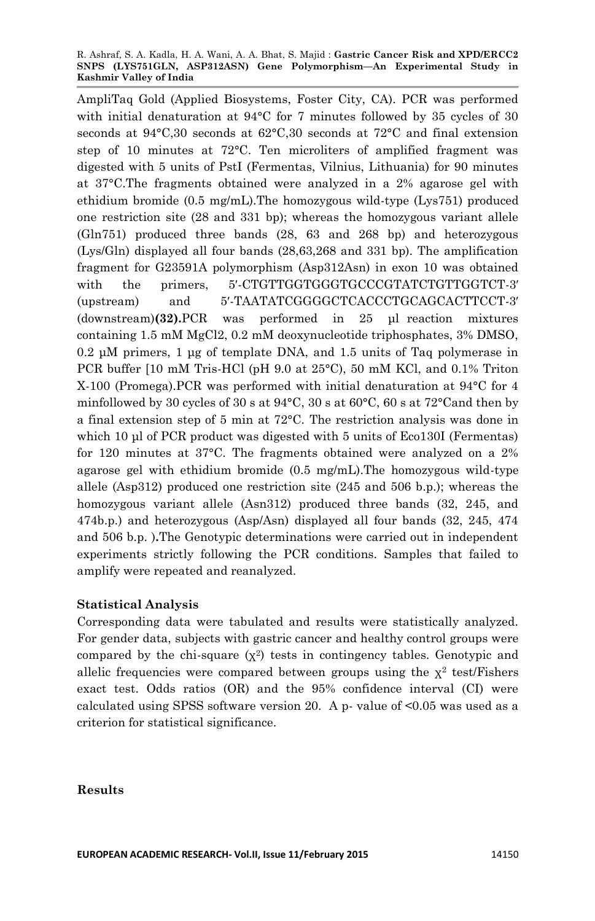AmpliTaq Gold (Applied Biosystems, Foster City, CA). PCR was performed with initial denaturation at 94°C for 7 minutes followed by 35 cycles of 30 seconds at 94°C,30 seconds at 62°C,30 seconds at 72°C and final extension step of 10 minutes at 72°C. Ten microliters of amplified fragment was digested with 5 units of PstI (Fermentas, Vilnius, Lithuania) for 90 minutes at 37°C.The fragments obtained were analyzed in a 2% agarose gel with ethidium bromide (0.5 mg/mL).The homozygous wild-type (Lys751) produced one restriction site (28 and 331 bp); whereas the homozygous variant allele (Gln751) produced three bands (28, 63 and 268 bp) and heterozygous (Lys/Gln) displayed all four bands (28,63,268 and 331 bp). The amplification fragment for G23591A polymorphism (Asp312Asn) in exon 10 was obtained with the primers, 5′-CTGTTGGTGGGTGCCCGTATCTGTTGGTCT-3′ (upstream) and 5′-TAATATCGGGGCTCACCCTGCAGCACTTCCT-3′ (downstream)**(32).**PCR was performed in 25 μl reaction mixtures containing 1.5 mM MgCl2, 0.2 mM deoxynucleotide triphosphates, 3% DMSO, 0.2 μM primers, 1 μg of template DNA, and 1.5 units of Taq polymerase in PCR buffer [10 mM Tris-HCl (pH 9.0 at 25°C), 50 mM KCl, and 0.1% Triton X-100 (Promega).PCR was performed with initial denaturation at 94°C for 4 minfollowed by 30 cycles of 30 s at 94°C, 30 s at 60°C, 60 s at 72°Cand then by a final extension step of 5 min at 72°C. The restriction analysis was done in which 10 µl of PCR product was digested with 5 units of Eco130I (Fermentas) for 120 minutes at 37°C. The fragments obtained were analyzed on a 2% agarose gel with ethidium bromide  $(0.5 \text{ mg/mL})$ . The homozygous wild-type allele (Asp312) produced one restriction site (245 and 506 b.p.); whereas the homozygous variant allele (Asn312) produced three bands (32, 245, and 474b.p.) and heterozygous (Asp/Asn) displayed all four bands (32, 245, 474 and 506 b.p. )**.**The Genotypic determinations were carried out in independent experiments strictly following the PCR conditions. Samples that failed to amplify were repeated and reanalyzed.

## **Statistical Analysis**

Corresponding data were tabulated and results were statistically analyzed. For gender data, subjects with gastric cancer and healthy control groups were compared by the chi-square  $(\chi^2)$  tests in contingency tables. Genotypic and allelic frequencies were compared between groups using the  $\chi^2$  test/Fishers exact test. Odds ratios (OR) and the 95% confidence interval (CI) were calculated using SPSS software version 20. A p- value of  $\leq 0.05$  was used as a criterion for statistical significance.

### **Results**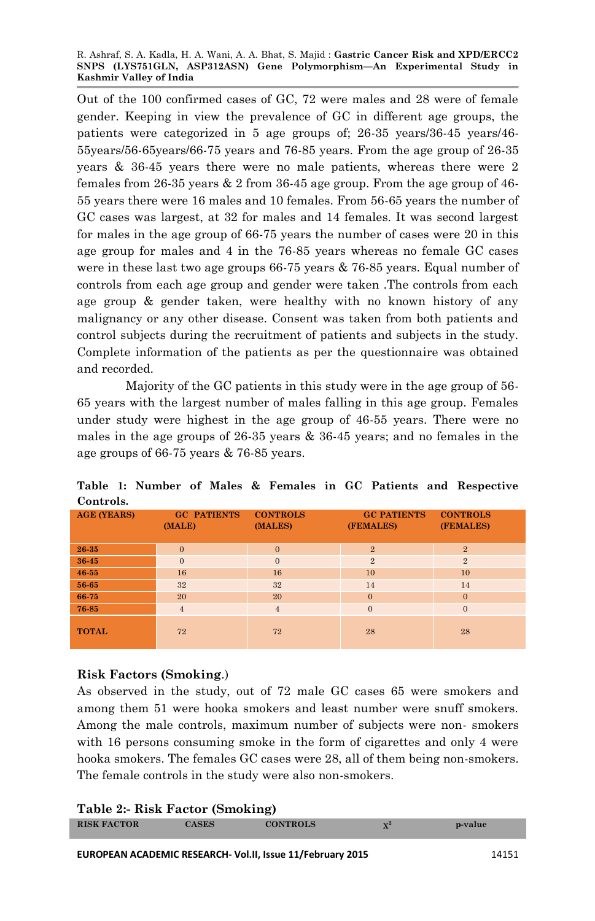Out of the 100 confirmed cases of GC, 72 were males and 28 were of female gender. Keeping in view the prevalence of GC in different age groups, the patients were categorized in 5 age groups of; 26-35 years/36-45 years/46- 55years/56-65years/66-75 years and 76-85 years. From the age group of 26-35 years & 36-45 years there were no male patients, whereas there were 2 females from 26-35 years  $\&$  2 from 36-45 age group. From the age group of 46-55 years there were 16 males and 10 females. From 56-65 years the number of GC cases was largest, at 32 for males and 14 females. It was second largest for males in the age group of 66-75 years the number of cases were 20 in this age group for males and 4 in the 76-85 years whereas no female GC cases were in these last two age groups 66-75 years & 76-85 years. Equal number of controls from each age group and gender were taken .The controls from each age group & gender taken, were healthy with no known history of any malignancy or any other disease. Consent was taken from both patients and control subjects during the recruitment of patients and subjects in the study. Complete information of the patients as per the questionnaire was obtained and recorded.

Majority of the GC patients in this study were in the age group of 56- 65 years with the largest number of males falling in this age group. Females under study were highest in the age group of 46-55 years. There were no males in the age groups of 26-35 years & 36-45 years; and no females in the age groups of 66-75 years & 76-85 years.

| ---------          |                              |                            |                                 |                              |
|--------------------|------------------------------|----------------------------|---------------------------------|------------------------------|
| <b>AGE (YEARS)</b> | <b>GC PATIENTS</b><br>(MALE) | <b>CONTROLS</b><br>(MALES) | <b>GC PATIENTS</b><br>(FEMALES) | <b>CONTROLS</b><br>(FEMALES) |
| 26-35              | $\mathbf{0}$                 | $\overline{0}$             | $\overline{2}$                  | $\overline{2}$               |
| 36-45              | $\mathbf{0}$                 | $\Omega$                   | $\overline{2}$                  | 2                            |
| $46 - 55$          | 16                           | 16                         | 10                              | 10                           |
| 56-65              | 32                           | 32                         | 14                              | 14                           |
| 66-75              | 20                           | 20                         | $\Omega$                        | $\mathbf{0}$                 |
| 76-85              | $\overline{4}$               | $\overline{4}$             | $\mathbf{0}$                    | $\mathbf{0}$                 |
| <b>TOTAL</b>       | 72                           | 72                         | 28                              | 28                           |

**Table 1: Number of Males & Females in GC Patients and Respective Controls.**

## **Risk Factors (Smoking**.)

As observed in the study, out of 72 male GC cases 65 were smokers and among them 51 were hooka smokers and least number were snuff smokers. Among the male controls, maximum number of subjects were non- smokers with 16 persons consuming smoke in the form of cigarettes and only 4 were hooka smokers. The females GC cases were 28, all of them being non-smokers. The female controls in the study were also non-smokers.

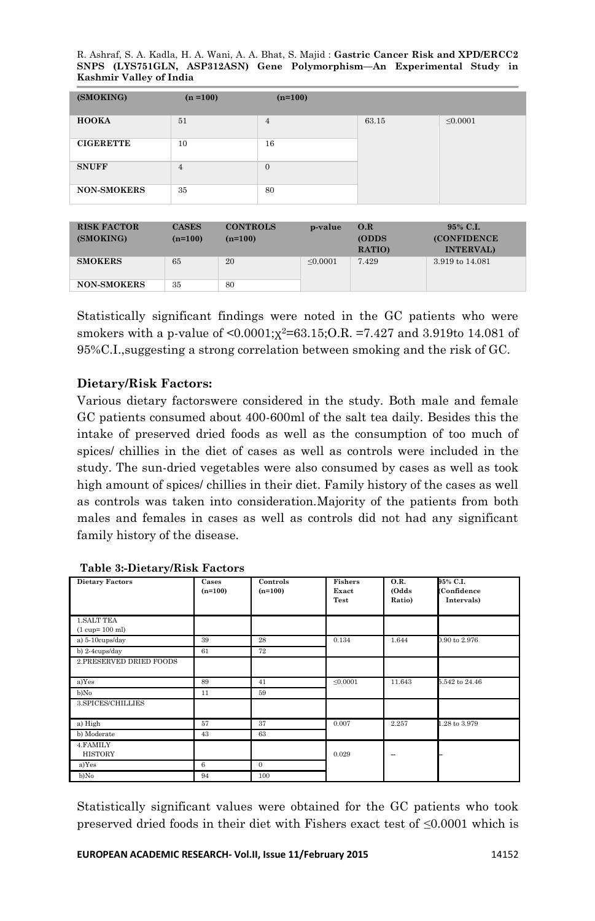R. Ashraf, S. A. Kadla, H. A. Wani, A. A. Bhat, S. Majid : **Gastric Cancer Risk and XPD/ERCC2 SNPS (LYS751GLN, ASP312ASN) Gene Polymorphism—An Experimental Study in Kashmir Valley of India**

| (SMOKING)          | $(n = 100)$ | $(n=100)$      |       |               |
|--------------------|-------------|----------------|-------|---------------|
| <b>HOOKA</b>       | 51          | $\overline{4}$ | 63.15 | $\leq 0.0001$ |
| <b>CIGERETTE</b>   | 10          | 16             |       |               |
| <b>SNUFF</b>       | 4           | $\mathbf{0}$   |       |               |
| <b>NON-SMOKERS</b> | 35          | 80             |       |               |

| <b>RISK FACTOR</b><br>(SMOKING) | <b>CASES</b><br>$(n=100)$ | <b>CONTROLS</b><br>$(n=100)$ | p-value       | O.R<br><b>(ODDS)</b><br>RATIO) | 95% C.I.<br><b>(CONFIDENCE)</b><br><b>INTERVAL</b> |
|---------------------------------|---------------------------|------------------------------|---------------|--------------------------------|----------------------------------------------------|
| <b>SMOKERS</b>                  | 65                        | 20                           | $\leq 0.0001$ | 7.429                          | 3.919 to 14.081                                    |
| <b>NON-SMOKERS</b>              | 35                        | 80                           |               |                                |                                                    |

Statistically significant findings were noted in the GC patients who were smokers with a p-value of  $\leq 0.0001$ ; $\chi^2$ =63.15;O.R. =7.427 and 3.919to 14.081 of 95%C.I.,suggesting a strong correlation between smoking and the risk of GC.

### **Dietary/Risk Factors:**

Various dietary factorswere considered in the study. Both male and female GC patients consumed about 400-600ml of the salt tea daily. Besides this the intake of preserved dried foods as well as the consumption of too much of spices/ chillies in the diet of cases as well as controls were included in the study. The sun-dried vegetables were also consumed by cases as well as took high amount of spices/ chillies in their diet. Family history of the cases as well as controls was taken into consideration.Majority of the patients from both males and females in cases as well as controls did not had any significant family history of the disease.

| <b>Dietary Factors</b>      | Cases<br>$(n=100)$ | Controls<br>$(n=100)$ | <b>Fishers</b><br>Exact<br>Test | <b>O.R.</b><br>(Odds<br>Ratio) | 95% C.I.<br>(Confidence<br>Intervals) |
|-----------------------------|--------------------|-----------------------|---------------------------------|--------------------------------|---------------------------------------|
| <b>1. SALT TEA</b>          |                    |                       |                                 |                                |                                       |
| $(1 cup=100 ml)$            |                    |                       |                                 |                                |                                       |
| a) 5-10cups/day             | 39                 | 28                    | 0.134                           | 1.644                          | 0.90 to 2.976                         |
| b) 2-4cups/day              | 61                 | 72                    |                                 |                                |                                       |
| 2. PRESERVED DRIED FOODS    |                    |                       |                                 |                                |                                       |
|                             |                    |                       |                                 |                                |                                       |
| a)Yes                       | 89                 | 41                    | $\leq 0.0001$                   | 11.643                         | 5.542 to 24.46                        |
| b)No                        | 11                 | 59                    |                                 |                                |                                       |
| 3.SPICES/CHILLIES           |                    |                       |                                 |                                |                                       |
|                             |                    |                       |                                 |                                |                                       |
| a) High                     | 57                 | 37                    | 0.007                           | 2.257                          | 1.28 to 3.979                         |
| b) Moderate                 | 43                 | 63                    |                                 |                                |                                       |
| 4. FAMILY<br><b>HISTORY</b> |                    |                       | 0.029                           | -                              |                                       |
| a)Yes                       | 6                  | $\theta$              |                                 |                                |                                       |
| b)No                        | 94                 | 100                   |                                 |                                |                                       |

#### **Table 3:-Dietary/Risk Factors**

Statistically significant values were obtained for the GC patients who took preserved dried foods in their diet with Fishers exact test of ≤0.0001 which is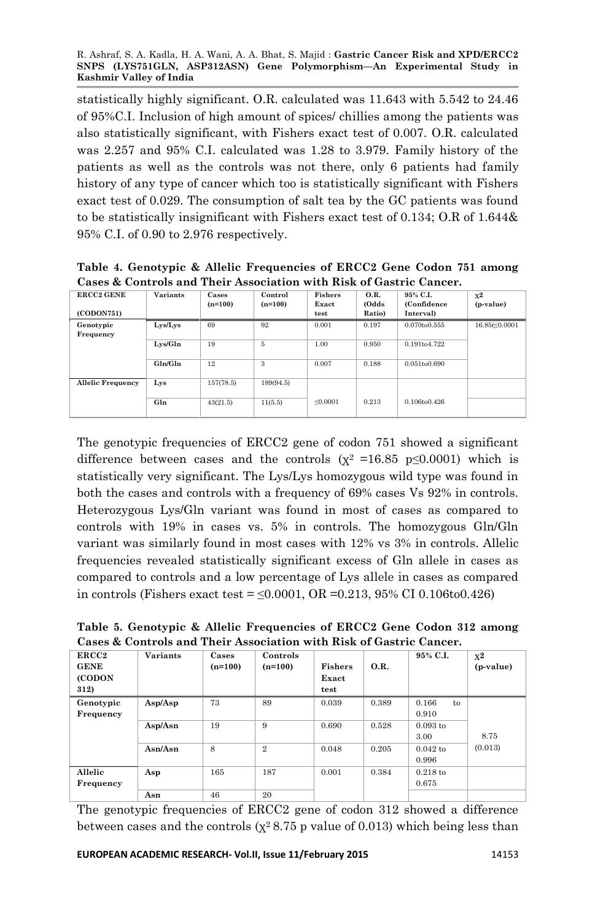statistically highly significant. O.R. calculated was 11.643 with 5.542 to 24.46 of 95%C.I. Inclusion of high amount of spices/ chillies among the patients was also statistically significant, with Fishers exact test of 0.007. O.R. calculated was 2.257 and 95% C.I. calculated was 1.28 to 3.979. Family history of the patients as well as the controls was not there, only 6 patients had family history of any type of cancer which too is statistically significant with Fishers exact test of 0.029. The consumption of salt tea by the GC patients was found to be statistically insignificant with Fishers exact test of 0.134; O.R of 1.644& 95% C.I. of 0.90 to 2.976 respectively.

| Table 4. Genotypic & Allelic Frequencies of ERCC2 Gene Codon 751 among |  |
|------------------------------------------------------------------------|--|
| Cases & Controls and Their Association with Risk of Gastric Cancer.    |  |

| <b>ERCC2 GENE</b>        | <b>Variants</b> | Cases<br>$(n=100)$ | Control<br>$(n=100)$ | Fishers<br>Exact | O.R.<br>(Odds | 95% C.I.<br>(Confidence) | $x^2$<br>(p-value) |
|--------------------------|-----------------|--------------------|----------------------|------------------|---------------|--------------------------|--------------------|
| (CODON751)               |                 |                    |                      | test             | Ratio)        | Interval)                |                    |
| Genotypic<br>Frequency   | Lys/Lys         | 69                 | 92                   | 0.001            | 0.197         | 0.070to0.555             | 16.85(≤0.0001      |
|                          | Lys/Gln         | 19                 | 5                    | 1.00             | 0.950         | 0.191to4.722             |                    |
|                          | Gln/Gln         | 12                 | 3                    | 0.007            | 0.188         | 0.051to0.690             |                    |
| <b>Allelic Frequency</b> | Lys             | 157(78.5)          | 189(94.5)            |                  |               |                          |                    |
|                          | Gln             | 43(21.5)           | 11(5.5)              | < 0.0001         | 0.213         | 0.106to0.426             |                    |

The genotypic frequencies of ERCC2 gene of codon 751 showed a significant difference between cases and the controls  $(x^2 = 16.85 \text{ p} \le 0.0001)$  which is statistically very significant. The Lys/Lys homozygous wild type was found in both the cases and controls with a frequency of 69% cases Vs 92% in controls. Heterozygous Lys/Gln variant was found in most of cases as compared to controls with 19% in cases vs. 5% in controls. The homozygous Gln/Gln variant was similarly found in most cases with 12% vs 3% in controls. Allelic frequencies revealed statistically significant excess of Gln allele in cases as compared to controls and a low percentage of Lys allele in cases as compared in controls (Fishers exact test =  $\leq 0.0001$ , OR = 0.213, 95% CI 0.106to0.426)

**Table 5. Genotypic & Allelic Frequencies of ERCC2 Gene Codon 312 among Cases & Controls and Their Association with Risk of Gastric Cancer.**

| ERCC <sub>2</sub><br><b>GENE</b><br>(CODON<br>312) | <b>Variants</b> | Cases<br>$(n=100)$ | Controls<br>$(n=100)$ | <b>Fishers</b><br>Exact<br>test | O.R.  | 95% C.L.             | $x^2$<br>(p-value) |
|----------------------------------------------------|-----------------|--------------------|-----------------------|---------------------------------|-------|----------------------|--------------------|
| Genotypic<br>Frequency                             | Asp/Asp         | 73                 | 89                    | 0.039                           | 0.389 | 0.166<br>to<br>0.910 |                    |
|                                                    | Asp/Asn         | 19                 | 9                     | 0.690                           | 0.528 | $0.093$ to<br>3.00   | 8.75               |
|                                                    | Asn/Asn         | 8                  | $\overline{2}$        | 0.048                           | 0.205 | $0.042$ to<br>0.996  | (0.013)            |
| Allelic<br>Frequency                               | Asp             | 165                | 187                   | 0.001                           | 0.384 | $0.218$ to<br>0.675  |                    |
|                                                    | Asn             | 46                 | 20                    |                                 |       |                      |                    |

The genotypic frequencies of ERCC2 gene of codon 312 showed a difference between cases and the controls ( $\chi^2$  8.75 p value of 0.013) which being less than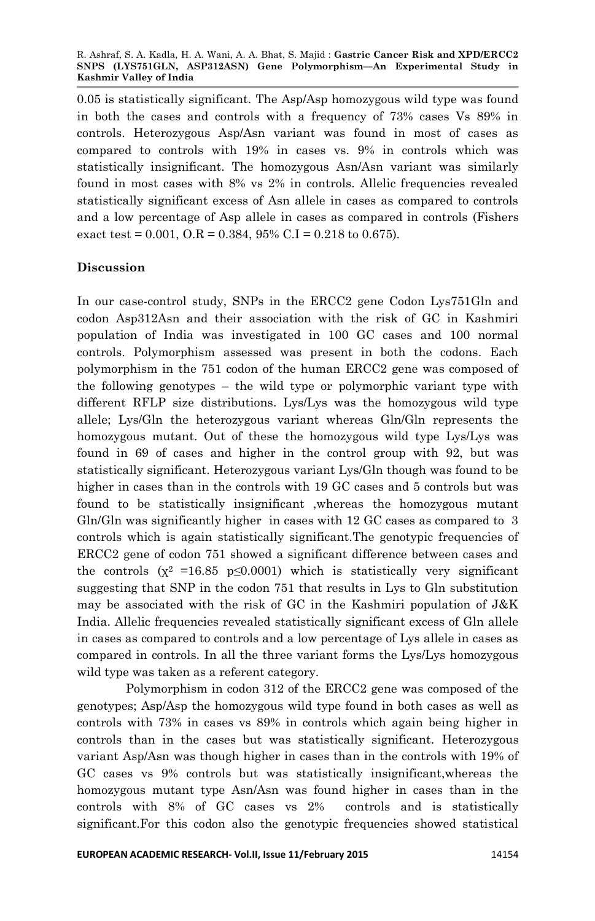0.05 is statistically significant. The Asp/Asp homozygous wild type was found in both the cases and controls with a frequency of 73% cases Vs 89% in controls. Heterozygous Asp/Asn variant was found in most of cases as compared to controls with 19% in cases vs. 9% in controls which was statistically insignificant. The homozygous Asn/Asn variant was similarly found in most cases with 8% vs 2% in controls. Allelic frequencies revealed statistically significant excess of Asn allele in cases as compared to controls and a low percentage of Asp allele in cases as compared in controls (Fishers exact test =  $0.001$ ,  $O.R = 0.384$ ,  $95\%$  C.I =  $0.218$  to 0.675).

## **Discussion**

In our case-control study, SNPs in the ERCC2 gene Codon Lys751Gln and codon Asp312Asn and their association with the risk of GC in Kashmiri population of India was investigated in 100 GC cases and 100 normal controls. Polymorphism assessed was present in both the codons. Each polymorphism in the 751 codon of the human ERCC2 gene was composed of the following genotypes – the wild type or polymorphic variant type with different RFLP size distributions. Lys/Lys was the homozygous wild type allele; Lys/Gln the heterozygous variant whereas Gln/Gln represents the homozygous mutant. Out of these the homozygous wild type Lys/Lys was found in 69 of cases and higher in the control group with 92, but was statistically significant. Heterozygous variant Lys/Gln though was found to be higher in cases than in the controls with 19 GC cases and 5 controls but was found to be statistically insignificant ,whereas the homozygous mutant Gln/Gln was significantly higher in cases with 12 GC cases as compared to 3 controls which is again statistically significant.The genotypic frequencies of ERCC2 gene of codon 751 showed a significant difference between cases and the controls  $(x^2 = 16.85 \text{ p} \le 0.0001)$  which is statistically very significant suggesting that SNP in the codon 751 that results in Lys to Gln substitution may be associated with the risk of GC in the Kashmiri population of J&K India. Allelic frequencies revealed statistically significant excess of Gln allele in cases as compared to controls and a low percentage of Lys allele in cases as compared in controls. In all the three variant forms the Lys/Lys homozygous wild type was taken as a referent category.

Polymorphism in codon 312 of the ERCC2 gene was composed of the genotypes; Asp/Asp the homozygous wild type found in both cases as well as controls with 73% in cases vs 89% in controls which again being higher in controls than in the cases but was statistically significant. Heterozygous variant Asp/Asn was though higher in cases than in the controls with 19% of GC cases vs 9% controls but was statistically insignificant,whereas the homozygous mutant type Asn/Asn was found higher in cases than in the controls with 8% of GC cases vs 2% controls and is statistically significant.For this codon also the genotypic frequencies showed statistical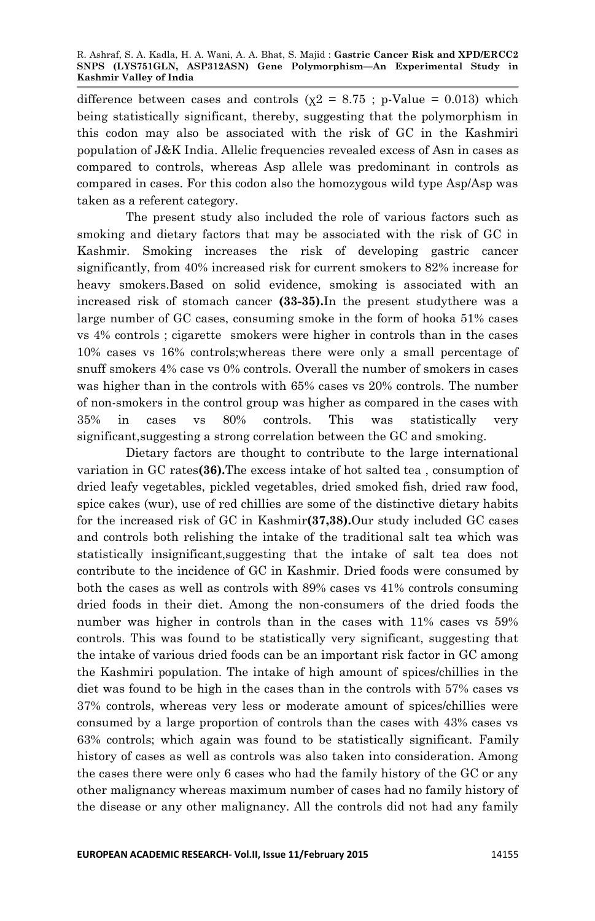difference between cases and controls ( $\chi$ 2 = 8.75 ; p-Value = 0.013) which being statistically significant, thereby, suggesting that the polymorphism in this codon may also be associated with the risk of GC in the Kashmiri population of J&K India. Allelic frequencies revealed excess of Asn in cases as compared to controls, whereas Asp allele was predominant in controls as compared in cases. For this codon also the homozygous wild type Asp/Asp was taken as a referent category.

The present study also included the role of various factors such as smoking and dietary factors that may be associated with the risk of GC in Kashmir. Smoking increases the risk of developing gastric cancer significantly, from 40% increased risk for current smokers to 82% increase for heavy smokers.Based on solid evidence, smoking is associated with an increased risk of stomach cancer **(33-35).**In the present studythere was a large number of GC cases, consuming smoke in the form of hooka 51% cases vs 4% controls ; cigarette smokers were higher in controls than in the cases 10% cases vs 16% controls;whereas there were only a small percentage of snuff smokers 4% case vs 0% controls. Overall the number of smokers in cases was higher than in the controls with 65% cases vs 20% controls. The number of non-smokers in the control group was higher as compared in the cases with 35% in cases vs 80% controls. This was statistically very significant,suggesting a strong correlation between the GC and smoking.

Dietary factors are thought to contribute to the large international variation in GC rates**(36).**The excess intake of hot salted tea , consumption of dried leafy vegetables, pickled vegetables, dried smoked fish, dried raw food, spice cakes (wur), use of red chillies are some of the distinctive dietary habits for the increased risk of GC in Kashmir**(37,38).**Our study included GC cases and controls both relishing the intake of the traditional salt tea which was statistically insignificant,suggesting that the intake of salt tea does not contribute to the incidence of GC in Kashmir. Dried foods were consumed by both the cases as well as controls with 89% cases vs 41% controls consuming dried foods in their diet. Among the non-consumers of the dried foods the number was higher in controls than in the cases with 11% cases vs 59% controls. This was found to be statistically very significant, suggesting that the intake of various dried foods can be an important risk factor in GC among the Kashmiri population. The intake of high amount of spices/chillies in the diet was found to be high in the cases than in the controls with 57% cases vs 37% controls, whereas very less or moderate amount of spices/chillies were consumed by a large proportion of controls than the cases with 43% cases vs 63% controls; which again was found to be statistically significant. Family history of cases as well as controls was also taken into consideration. Among the cases there were only 6 cases who had the family history of the GC or any other malignancy whereas maximum number of cases had no family history of the disease or any other malignancy. All the controls did not had any family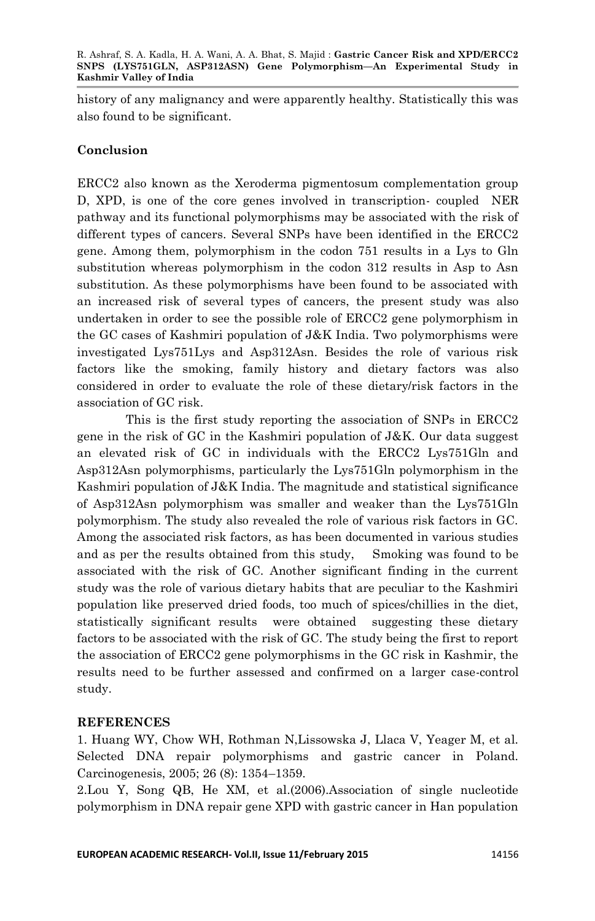history of any malignancy and were apparently healthy. Statistically this was also found to be significant.

### **Conclusion**

ERCC2 also known as the Xeroderma pigmentosum complementation group D, XPD, is one of the core genes involved in transcription- coupled NER pathway and its functional polymorphisms may be associated with the risk of different types of cancers. Several SNPs have been identified in the ERCC2 gene. Among them, polymorphism in the codon 751 results in a Lys to Gln substitution whereas polymorphism in the codon 312 results in Asp to Asn substitution. As these polymorphisms have been found to be associated with an increased risk of several types of cancers, the present study was also undertaken in order to see the possible role of ERCC2 gene polymorphism in the GC cases of Kashmiri population of J&K India. Two polymorphisms were investigated Lys751Lys and Asp312Asn. Besides the role of various risk factors like the smoking, family history and dietary factors was also considered in order to evaluate the role of these dietary/risk factors in the association of GC risk.

This is the first study reporting the association of SNPs in ERCC2 gene in the risk of GC in the Kashmiri population of J&K. Our data suggest an elevated risk of GC in individuals with the ERCC2 Lys751Gln and Asp312Asn polymorphisms, particularly the Lys751Gln polymorphism in the Kashmiri population of J&K India. The magnitude and statistical significance of Asp312Asn polymorphism was smaller and weaker than the Lys751Gln polymorphism. The study also revealed the role of various risk factors in GC. Among the associated risk factors, as has been documented in various studies and as per the results obtained from this study, Smoking was found to be associated with the risk of GC. Another significant finding in the current study was the role of various dietary habits that are peculiar to the Kashmiri population like preserved dried foods, too much of spices/chillies in the diet, statistically significant results were obtained suggesting these dietary factors to be associated with the risk of GC. The study being the first to report the association of ERCC2 gene polymorphisms in the GC risk in Kashmir, the results need to be further assessed and confirmed on a larger case-control study.

### **REFERENCES**

1. Huang WY, Chow WH, Rothman N,Lissowska J, Llaca V, Yeager M, et al. Selected DNA repair polymorphisms and gastric cancer in Poland. Carcinogenesis, 2005; 26 (8): 1354–1359.

2.Lou Y, Song QB, He XM, et al.(2006).Association of single nucleotide polymorphism in DNA repair gene XPD with gastric cancer in Han population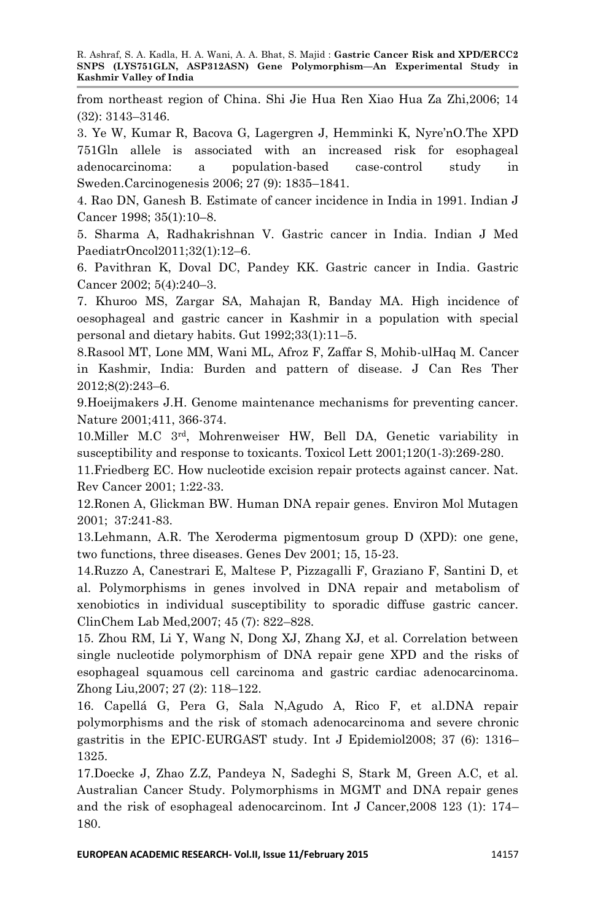R. Ashraf, S. A. Kadla, H. A. Wani, A. A. Bhat, S. Majid : **Gastric Cancer Risk and XPD/ERCC2 SNPS (LYS751GLN, ASP312ASN) Gene Polymorphism—An Experimental Study in Kashmir Valley of India**

from northeast region of China. Shi Jie Hua Ren Xiao Hua Za Zhi,2006; 14 (32): 3143–3146.

3. Ye W, Kumar R, Bacova G, Lagergren J, Hemminki K, Nyre'nO.The XPD 751Gln allele is associated with an increased risk for esophageal adenocarcinoma: a population-based case-control study in Sweden.Carcinogenesis 2006; 27 (9): 1835–1841.

4. Rao DN, Ganesh B. Estimate of cancer incidence in India in 1991. Indian J Cancer 1998; 35(1):10–8.

5. Sharma A, Radhakrishnan V. Gastric cancer in India. Indian J Med PaediatrOncol2011;32(1):12–6.

6. Pavithran K, Doval DC, Pandey KK. Gastric cancer in India. Gastric Cancer 2002; 5(4):240–3.

7. Khuroo MS, Zargar SA, Mahajan R, Banday MA. High incidence of oesophageal and gastric cancer in Kashmir in a population with special personal and dietary habits. Gut 1992;33(1):11–5.

8.Rasool MT, Lone MM, Wani ML, Afroz F, Zaffar S, Mohib-ulHaq M. Cancer in Kashmir, India: Burden and pattern of disease. J Can Res Ther 2012;8(2):243–6.

9.Hoeijmakers J.H. Genome maintenance mechanisms for preventing cancer. Nature 2001;411, 366-374.

10.Miller M.C 3rd, Mohrenweiser HW, Bell DA, Genetic variability in susceptibility and response to toxicants. Toxicol Lett 2001;120(1-3):269-280.

11.Friedberg EC. How nucleotide excision repair protects against cancer. Nat. Rev Cancer 2001; 1:22-33.

12.Ronen A, Glickman BW. Human DNA repair genes. Environ Mol Mutagen 2001; 37:241-83.

13.Lehmann, A.R. The Xeroderma pigmentosum group D (XPD): one gene, two functions, three diseases. Genes Dev 2001; 15, 15-23.

14.Ruzzo A, Canestrari E, Maltese P, Pizzagalli F, Graziano F, Santini D, et al. Polymorphisms in genes involved in DNA repair and metabolism of xenobiotics in individual susceptibility to sporadic diffuse gastric cancer. ClinChem Lab Med,2007; 45 (7): 822–828.

15. Zhou RM, Li Y, Wang N, Dong XJ, Zhang XJ, et al. Correlation between single nucleotide polymorphism of DNA repair gene XPD and the risks of esophageal squamous cell carcinoma and gastric cardiac adenocarcinoma. Zhong Liu,2007; 27 (2): 118–122.

16. Capellá G, Pera G, Sala N,Agudo A, Rico F, et al.DNA repair polymorphisms and the risk of stomach adenocarcinoma and severe chronic gastritis in the EPIC-EURGAST study. Int J Epidemiol2008; 37 (6): 1316– 1325.

17.Doecke J, Zhao Z.Z, Pandeya N, Sadeghi S, Stark M, Green A.C, et al. Australian Cancer Study. Polymorphisms in MGMT and DNA repair genes and the risk of esophageal adenocarcinom. Int J Cancer,2008 123 (1): 174– 180.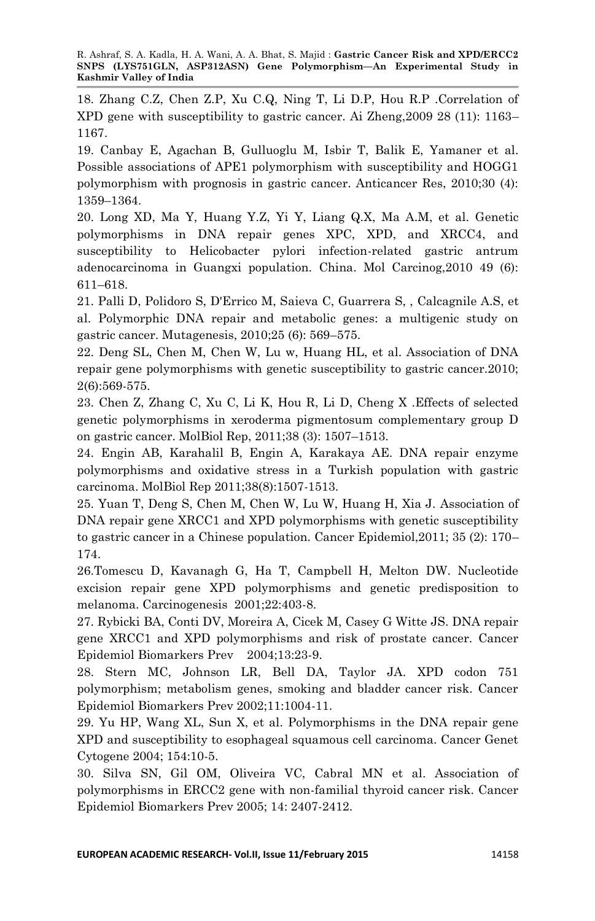18. Zhang C.Z, Chen Z.P, Xu C.Q, Ning T, Li D.P, Hou R.P .Correlation of XPD gene with susceptibility to gastric cancer. Ai Zheng,2009 28 (11): 1163– 1167.

19. Canbay E, Agachan B, Gulluoglu M, Isbir T, Balik E, Yamaner et al. Possible associations of APE1 polymorphism with susceptibility and HOGG1 polymorphism with prognosis in gastric cancer. Anticancer Res, 2010;30 (4): 1359–1364.

20. Long XD, Ma Y, Huang Y.Z, Yi Y, Liang Q.X, Ma A.M, et al. Genetic polymorphisms in DNA repair genes XPC, XPD, and XRCC4, and susceptibility to Helicobacter pylori infection-related gastric antrum adenocarcinoma in Guangxi population. China. Mol Carcinog,2010 49 (6): 611–618.

21. Palli D, Polidoro S, D'Errico M, Saieva C, Guarrera S, , Calcagnile A.S, et al. Polymorphic DNA repair and metabolic genes: a multigenic study on gastric cancer. Mutagenesis, 2010;25 (6): 569–575.

22. Deng SL, Chen M, Chen W, Lu w, Huang HL, et al. Association of DNA repair gene polymorphisms with genetic susceptibility to gastric cancer.2010; 2(6):569-575.

23. Chen Z, Zhang C, Xu C, Li K, Hou R, Li D, Cheng X .Effects of selected genetic polymorphisms in xeroderma pigmentosum complementary group D on gastric cancer. MolBiol Rep, 2011;38 (3): 1507–1513.

24. Engin AB, Karahalil B, Engin A, Karakaya AE. DNA repair enzyme polymorphisms and oxidative stress in a Turkish population with gastric carcinoma. MolBiol Rep 2011;38(8):1507-1513.

25. Yuan T, Deng S, Chen M, Chen W, Lu W, Huang H, Xia J. Association of DNA repair gene XRCC1 and XPD polymorphisms with genetic susceptibility to gastric cancer in a Chinese population. Cancer Epidemiol,2011; 35 (2): 170– 174.

26.Tomescu D, Kavanagh G, Ha T, Campbell H, Melton DW. Nucleotide excision repair gene XPD polymorphisms and genetic predisposition to melanoma. Carcinogenesis 2001;22:403-8.

27. Rybicki BA, Conti DV, Moreira A, Cicek M, Casey G Witte JS. DNA repair gene XRCC1 and XPD polymorphisms and risk of prostate cancer. Cancer Epidemiol Biomarkers Prev 2004;13:23-9.

28. Stern MC, Johnson LR, Bell DA, Taylor JA. XPD codon 751 polymorphism; metabolism genes, smoking and bladder cancer risk. Cancer Epidemiol Biomarkers Prev 2002;11:1004-11.

29. Yu HP, Wang XL, Sun X, et al. Polymorphisms in the DNA repair gene XPD and susceptibility to esophageal squamous cell carcinoma. Cancer Genet Cytogene 2004; 154:10-5.

30. Silva SN, Gil OM, Oliveira VC, Cabral MN et al. Association of polymorphisms in ERCC2 gene with non-familial thyroid cancer risk. Cancer Epidemiol Biomarkers Prev 2005; 14: 2407-2412.